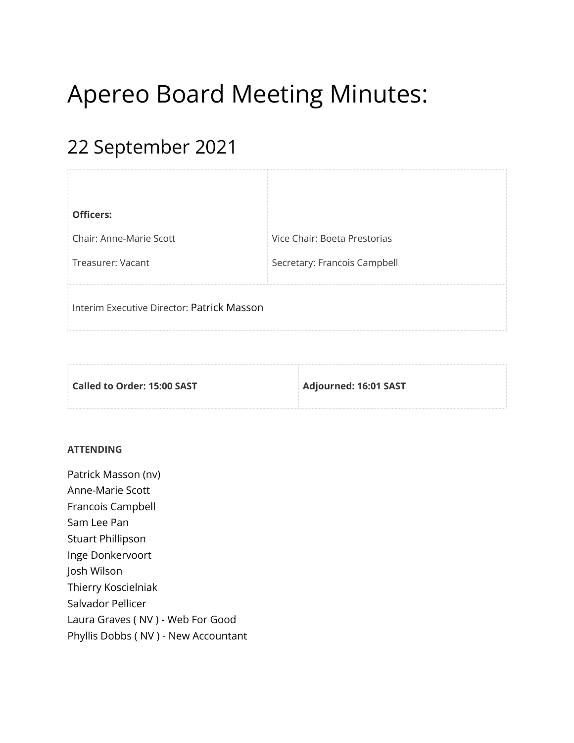# Apereo Board Meeting Minutes:

# 22 September 2021

| <b>Officers:</b>                           |                              |
|--------------------------------------------|------------------------------|
| Chair: Anne-Marie Scott                    | Vice Chair: Boeta Prestorias |
| Treasurer: Vacant                          | Secretary: Francois Campbell |
| Interim Executive Director: Patrick Masson |                              |

| $\,$ Called to Order: 15:00 SAST $\,$ | Adjourned: 16:01 SAST |
|---------------------------------------|-----------------------|
|                                       |                       |

#### **ATTENDING**

Patrick Masson (nv) Anne-Marie Scott Francois Campbell Sam Lee Pan Stuart Phillipson Inge Donkervoort Josh Wilson Thierry Koscielniak Salvador Pellicer Laura Graves ( NV ) - Web For Good Phyllis Dobbs ( NV ) - New Accountant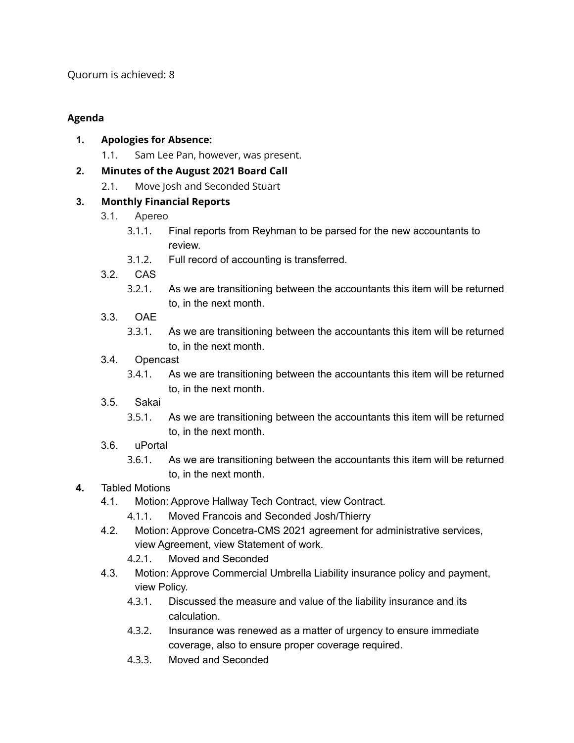Quorum is achieved: 8

## **Agenda**

- **1. Apologies for Absence:**
	- 1.1. Sam Lee Pan, however, was present.

# **2. Minutes of the August 2021 Board Call**

2.1. Move Josh and Seconded Stuart

# **3. Monthly Financial Reports**

- 3.1. Apereo
	- 3.1.1. Final reports from Reyhman to be parsed for the new accountants to review.
	- 3.1.2. Full record of accounting is transferred.
- 3.2. CAS
	- 3.2.1. As we are transitioning between the accountants this item will be returned to, in the next month.
- 3.3. OAE
	- 3.3.1. As we are transitioning between the accountants this item will be returned to, in the next month.
- 3.4. Opencast
	- 3.4.1. As we are transitioning between the accountants this item will be returned to, in the next month.
- 3.5. Sakai
	- 3.5.1. As we are transitioning between the accountants this item will be returned to, in the next month.
- 3.6. uPortal
	- 3.6.1. As we are transitioning between the accountants this item will be returned to, in the next month.

# **4.** Tabled Motions

- 4.1. Motion: Approve Hallway Tech Contract, view Contract.
	- 4.1.1. Moved Francois and Seconded Josh/Thierry
- 4.2. Motion: Approve Concetra-CMS 2021 agreement for administrative services, view Agreement, view Statement of work.
	- 4.2.1. Moved and Seconded
- 4.3. Motion: Approve Commercial Umbrella Liability insurance policy and payment, view Policy.
	- 4.3.1. Discussed the measure and value of the liability insurance and its calculation.
	- 4.3.2. Insurance was renewed as a matter of urgency to ensure immediate coverage, also to ensure proper coverage required.
	- 4.3.3. Moved and Seconded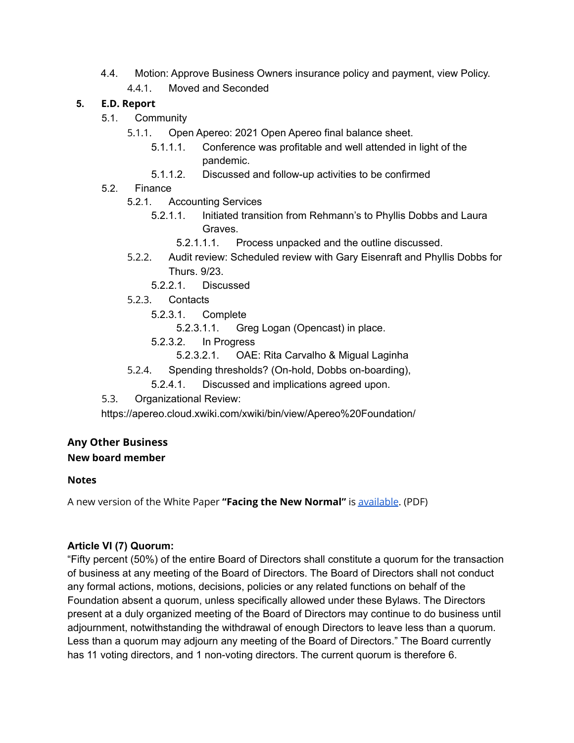4.4. Motion: Approve Business Owners insurance policy and payment, view Policy. 4.4.1. Moved and Seconded

#### **5. E.D. Report**

- 5.1. Community
	- 5.1.1. Open Apereo: 2021 Open Apereo final balance sheet.
		- 5.1.1.1. Conference was profitable and well attended in light of the pandemic.
		- 5.1.1.2. Discussed and follow-up activities to be confirmed
- 5.2. Finance
	- 5.2.1. Accounting Services
		- 5.2.1.1. Initiated transition from Rehmann's to Phyllis Dobbs and Laura Graves.
			- 5.2.1.1.1. Process unpacked and the outline discussed.
	- 5.2.2. Audit review: Scheduled review with Gary Eisenraft and Phyllis Dobbs for Thurs. 9/23.
		- 5.2.2.1. Discussed
	- 5.2.3. Contacts
		- 5.2.3.1. Complete
			- 5.2.3.1.1. Greg Logan (Opencast) in place.
		- 5.2.3.2. In Progress
			- 5.2.3.2.1. OAE: Rita Carvalho & Migual Laginha
	- 5.2.4. Spending thresholds? (On-hold, Dobbs on-boarding),
		- 5.2.4.1. Discussed and implications agreed upon.
- 5.3. Organizational Review:

https://apereo.cloud.xwiki.com/xwiki/bin/view/Apereo%20Foundation/

### **Any Other Business**

#### **New board member**

#### **Notes**

A new version of the White Paper **"Facing the New Normal"** is [available](https://drive.google.com/file/d/16cbpsys3_JynbudLGczmXSpNDKsQTVUC/view?usp=sharing). (PDF)

#### **Article VI (7) Quorum:**

"Fifty percent (50%) of the entire Board of Directors shall constitute a quorum for the transaction of business at any meeting of the Board of Directors. The Board of Directors shall not conduct any formal actions, motions, decisions, policies or any related functions on behalf of the Foundation absent a quorum, unless specifically allowed under these Bylaws. The Directors present at a duly organized meeting of the Board of Directors may continue to do business until adjournment, notwithstanding the withdrawal of enough Directors to leave less than a quorum. Less than a quorum may adjourn any meeting of the Board of Directors." The Board currently has 11 voting directors, and 1 non-voting directors. The current quorum is therefore 6.